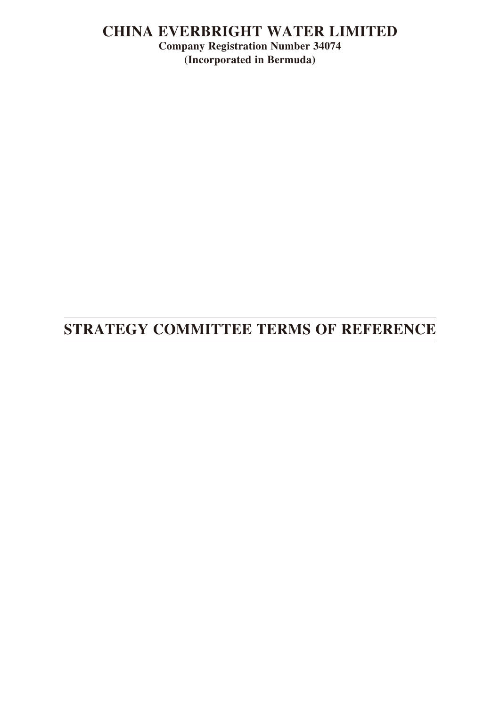## **CHINA EVERBRIGHT WATER LIMITED**

**Company Registration Number 34074 (Incorporated in Bermuda)**

# **STRATEGY COMMITTEE TERMS OF REFERENCE**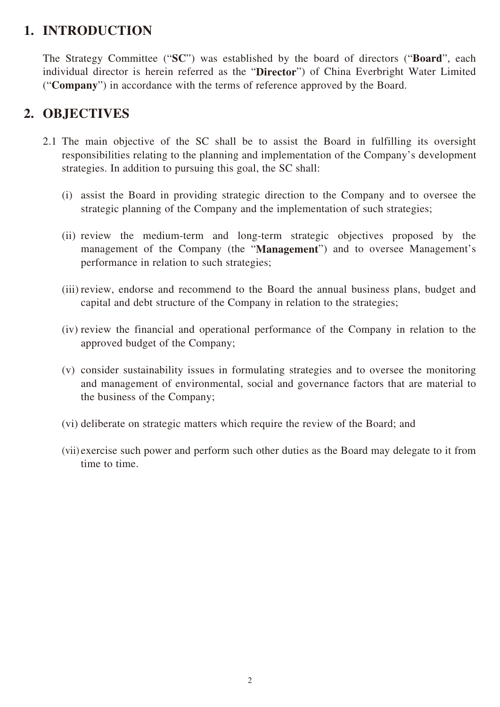## **1. INTRODUCTION**

The Strategy Committee ("**SC**") was established by the board of directors ("**Board**", each individual director is herein referred as the "**Director**") of China Everbright Water Limited ("**Company**") in accordance with the terms of reference approved by the Board.

## **2. OBJECTIVES**

- 2.1 The main objective of the SC shall be to assist the Board in fulfilling its oversight responsibilities relating to the planning and implementation of the Company's development strategies. In addition to pursuing this goal, the SC shall:
	- (i) assist the Board in providing strategic direction to the Company and to oversee the strategic planning of the Company and the implementation of such strategies;
	- (ii) review the medium-term and long-term strategic objectives proposed by the management of the Company (the "**Management**") and to oversee Management's performance in relation to such strategies;
	- (iii) review, endorse and recommend to the Board the annual business plans, budget and capital and debt structure of the Company in relation to the strategies;
	- (iv) review the financial and operational performance of the Company in relation to the approved budget of the Company;
	- (v) consider sustainability issues in formulating strategies and to oversee the monitoring and management of environmental, social and governance factors that are material to the business of the Company;
	- (vi) deliberate on strategic matters which require the review of the Board; and
	- (vii) exercise such power and perform such other duties as the Board may delegate to it from time to time.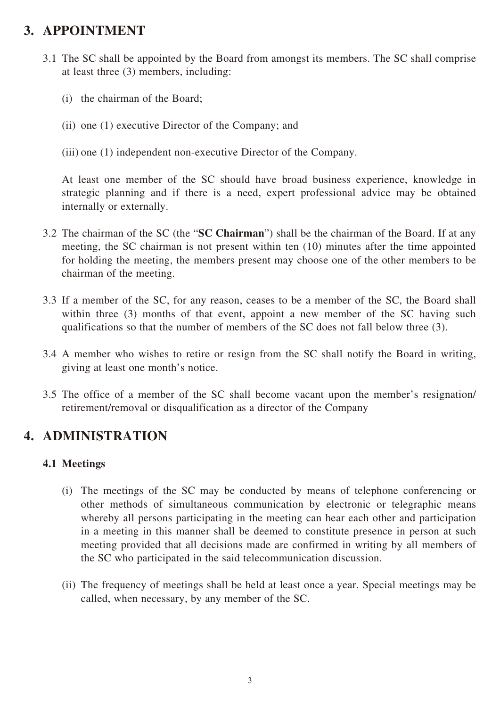## **3. APPOINTMENT**

- 3.1 The SC shall be appointed by the Board from amongst its members. The SC shall comprise at least three (3) members, including:
	- (i) the chairman of the Board;
	- (ii) one (1) executive Director of the Company; and
	- (iii) one (1) independent non-executive Director of the Company.

At least one member of the SC should have broad business experience, knowledge in strategic planning and if there is a need, expert professional advice may be obtained internally or externally.

- 3.2 The chairman of the SC (the "**SC Chairman**") shall be the chairman of the Board. If at any meeting, the SC chairman is not present within ten (10) minutes after the time appointed for holding the meeting, the members present may choose one of the other members to be chairman of the meeting.
- 3.3 If a member of the SC, for any reason, ceases to be a member of the SC, the Board shall within three (3) months of that event, appoint a new member of the SC having such qualifications so that the number of members of the SC does not fall below three (3).
- 3.4 A member who wishes to retire or resign from the SC shall notify the Board in writing, giving at least one month's notice.
- 3.5 The office of a member of the SC shall become vacant upon the member's resignation/ retirement/removal or disqualification as a director of the Company

## **4. ADMINISTRATION**

### **4.1 Meetings**

- (i) The meetings of the SC may be conducted by means of telephone conferencing or other methods of simultaneous communication by electronic or telegraphic means whereby all persons participating in the meeting can hear each other and participation in a meeting in this manner shall be deemed to constitute presence in person at such meeting provided that all decisions made are confirmed in writing by all members of the SC who participated in the said telecommunication discussion.
- (ii) The frequency of meetings shall be held at least once a year. Special meetings may be called, when necessary, by any member of the SC.